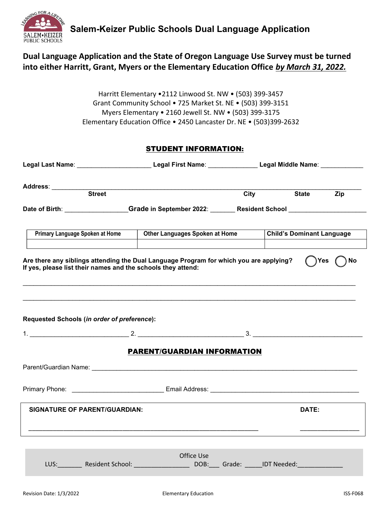

### Dual Language Application and the State of Oregon Language Use Survey must be turned into either Harritt, Grant, Myers or the Elementary Education Office by March 31, 2022.

Harritt Elementary •2112 Linwood St. NW • (503) 399-3457 Grant Community School • 725 Market St. NE • (503) 399-3151 Myers Elementary • 2160 Jewell St. NW • (503) 399-3175 Elementary Education Office • 2450 Lancaster Dr. NE • (503)399-2632

#### STUDENT INFORMATION:

|                                                                                                                                                                             | Legal Last Name: ____________________________Legal First Name: _________________Legal Middle Name: ___________ |      |                                  |     |  |
|-----------------------------------------------------------------------------------------------------------------------------------------------------------------------------|----------------------------------------------------------------------------------------------------------------|------|----------------------------------|-----|--|
|                                                                                                                                                                             |                                                                                                                | City | <b>State</b>                     | Zip |  |
|                                                                                                                                                                             | Date of Birth: Grade in September 2022: Resident School Charles Contains the School Charles Contains a Contain |      |                                  |     |  |
|                                                                                                                                                                             | Primary Language Spoken at Home   Other Languages Spoken at Home                                               |      | <b>Child's Dominant Language</b> |     |  |
| Are there any siblings attending the Dual Language Program for which you are applying?<br>)Yes<br><b>No</b><br>If yes, please list their names and the schools they attend: |                                                                                                                |      |                                  |     |  |
|                                                                                                                                                                             |                                                                                                                |      |                                  |     |  |
| Requested Schools (in order of preference):                                                                                                                                 |                                                                                                                |      |                                  |     |  |
|                                                                                                                                                                             |                                                                                                                |      |                                  |     |  |
|                                                                                                                                                                             | <b>PARENT/GUARDIAN INFORMATION</b>                                                                             |      |                                  |     |  |
|                                                                                                                                                                             |                                                                                                                |      |                                  |     |  |
|                                                                                                                                                                             |                                                                                                                |      |                                  |     |  |
| <b>SIGNATURE OF PARENT/GUARDIAN:</b>                                                                                                                                        |                                                                                                                |      | DATE:                            |     |  |
|                                                                                                                                                                             |                                                                                                                |      |                                  |     |  |
|                                                                                                                                                                             |                                                                                                                |      |                                  |     |  |
|                                                                                                                                                                             | Office Use<br>LUS: Resident School: DOB: Grade: IDT Needed:                                                    |      |                                  |     |  |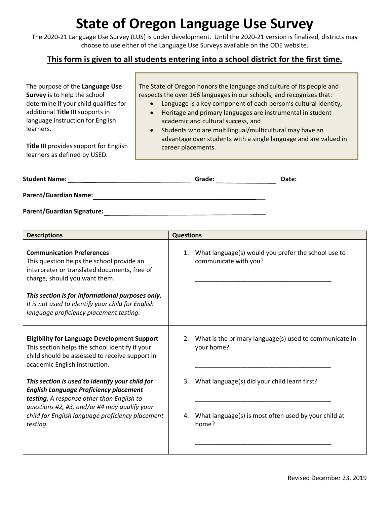## **State of Oregon Language Use Survey**

The 2020-21 Language Use Survey (LUS) is under development. Until the 2020-21 version is finalized, districts may choose to use either of the Language Use Surveys available on the ODE website.

#### **This form is given to all students entering into a school district for the first time.**

| The purpose of the Language Use<br>Survey is to help the school<br>determine if your child qualifies for<br>additional Title III supports in<br>language instruction for English<br>learners.<br>Title III provides support for English<br>learners as defined by USED. | The State of Oregon honors the language and culture of its people and<br>respects the over 166 languages in our schools, and recognizes that:<br>Language is a key component of each person's cultural identity,<br>$\bullet$<br>Heritage and primary languages are instrumental in student<br>$\bullet$<br>academic and cultural success, and<br>Students who are multilingual/multicultural may have an<br>$\bullet$<br>advantage over students with a single language and are valued in<br>career placements. |       |  |
|-------------------------------------------------------------------------------------------------------------------------------------------------------------------------------------------------------------------------------------------------------------------------|------------------------------------------------------------------------------------------------------------------------------------------------------------------------------------------------------------------------------------------------------------------------------------------------------------------------------------------------------------------------------------------------------------------------------------------------------------------------------------------------------------------|-------|--|
| <b>Student Name:</b>                                                                                                                                                                                                                                                    | Grade:                                                                                                                                                                                                                                                                                                                                                                                                                                                                                                           | Date: |  |
| <b>Parent/Guardian Name:</b>                                                                                                                                                                                                                                            |                                                                                                                                                                                                                                                                                                                                                                                                                                                                                                                  |       |  |
| <b>Parent/Guardian Signature:</b>                                                                                                                                                                                                                                       |                                                                                                                                                                                                                                                                                                                                                                                                                                                                                                                  |       |  |

**Descriptions Questions Communication Preferences** This question helps the school provide an interpreter or translated documents, free of charge, should you want them. *This section is for informational purposes only. It is not used to identify your child for English language proficiency placement testing.*  1. What language(s) would you prefer the school use to communicate with you? \_\_\_\_\_\_\_\_\_\_\_\_\_\_\_\_\_\_\_\_\_\_\_\_\_\_\_\_\_\_\_\_\_\_\_\_\_\_\_ **Eligibility for Language Development Support** This section helps the school identify if your child should be assessed to receive support in academic English instruction. *This section is used to identify your child for English Language Proficiency placement testing. A response other than English to questions #2, #3, and/or #4 may qualify your child for English language proficiency placement testing.* 2. What is the primary language(s) used to communicate in your home? \_\_\_\_\_\_\_\_\_\_\_\_\_\_\_\_\_\_\_\_\_\_\_\_\_\_\_\_\_\_\_\_\_\_\_\_\_\_\_ 3. What language(s) did your child learn first? \_\_\_\_\_\_\_\_\_\_\_\_\_\_\_\_\_\_\_\_\_\_\_\_\_\_\_\_\_\_\_\_\_\_\_\_\_\_\_ 4. What language(s) is most often used by your child at home? \_\_\_\_\_\_\_\_\_\_\_\_\_\_\_\_\_\_\_\_\_\_\_\_\_\_\_\_\_\_\_\_\_\_\_\_\_\_\_